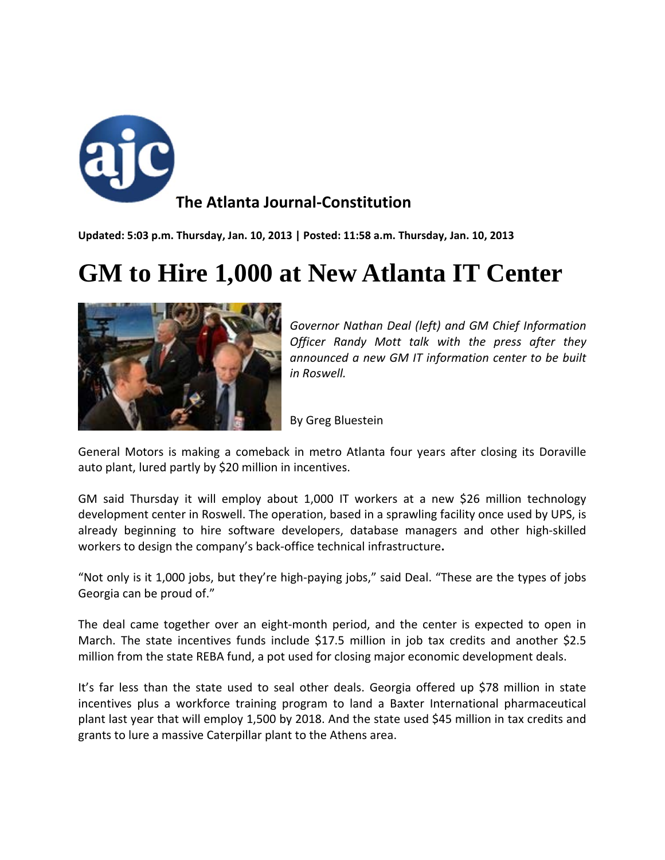

**Updated: 5:03 p.m. Thursday, Jan. 10, 2013 | Posted: 11:58 a.m. Thursday, Jan. 10, 2013**

## **GM to Hire 1,000 at New Atlanta IT Center**



*Governor Nathan Deal (left) and GM Chief Information Officer Randy Mott talk with the press after they announced a new GM IT information center to be built in Roswell.* 

By Greg Bluestein

General Motors is making a comeback in metro Atlanta four years after closing its Doraville auto plant, lured partly by \$20 million in incentives.

GM said Thursday it will employ about 1,000 IT workers at a new \$26 million technology development center in Roswell. The operation, based in a sprawling facility once used by UPS, is already beginning to hire software developers, database managers and other high‐skilled workers to design the company's back‐office technical infrastructure**.**

"Not only is it 1,000 jobs, but they're high‐paying jobs," said Deal. "These are the types of jobs Georgia can be proud of."

The deal came together over an eight‐month period, and the center is expected to open in March. The state incentives funds include \$17.5 million in job tax credits and another \$2.5 million from the state REBA fund, a pot used for closing major economic development deals.

It's far less than the state used to seal other deals. Georgia offered up \$78 million in state incentives plus a workforce training program to land a Baxter International pharmaceutical plant last year that will employ 1,500 by 2018. And the state used \$45 million in tax credits and grants to lure a massive Caterpillar plant to the Athens area.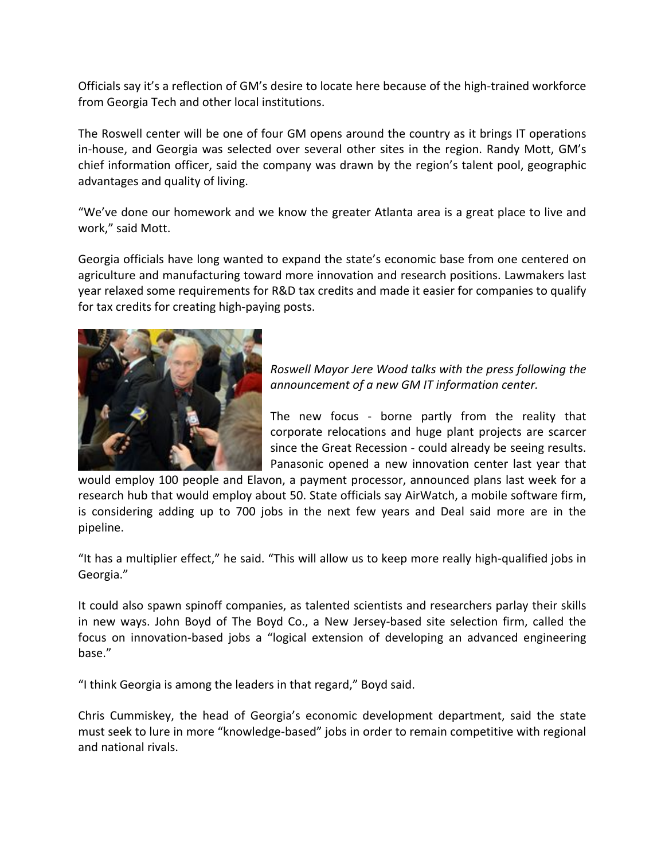Officials say it's a reflection of GM's desire to locate here because of the high‐trained workforce from Georgia Tech and other local institutions.

The Roswell center will be one of four GM opens around the country as it brings IT operations in-house, and Georgia was selected over several other sites in the region. Randy Mott, GM's chief information officer, said the company was drawn by the region's talent pool, geographic advantages and quality of living.

"We've done our homework and we know the greater Atlanta area is a great place to live and work," said Mott.

Georgia officials have long wanted to expand the state's economic base from one centered on agriculture and manufacturing toward more innovation and research positions. Lawmakers last year relaxed some requirements for R&D tax credits and made it easier for companies to qualify for tax credits for creating high‐paying posts.



*Roswell Mayor Jere Wood talks with the press following the announcement of a new GM IT information center.*

The new focus - borne partly from the reality that corporate relocations and huge plant projects are scarcer since the Great Recession ‐ could already be seeing results. Panasonic opened a new innovation center last year that

would employ 100 people and Elavon, a payment processor, announced plans last week for a research hub that would employ about 50. State officials say AirWatch, a mobile software firm, is considering adding up to 700 jobs in the next few years and Deal said more are in the pipeline.

"It has a multiplier effect," he said. "This will allow us to keep more really high‐qualified jobs in Georgia."

It could also spawn spinoff companies, as talented scientists and researchers parlay their skills in new ways. John Boyd of The Boyd Co., a New Jersey-based site selection firm, called the focus on innovation‐based jobs a "logical extension of developing an advanced engineering base."

"I think Georgia is among the leaders in that regard," Boyd said.

Chris Cummiskey, the head of Georgia's economic development department, said the state must seek to lure in more "knowledge‐based" jobs in order to remain competitive with regional and national rivals.